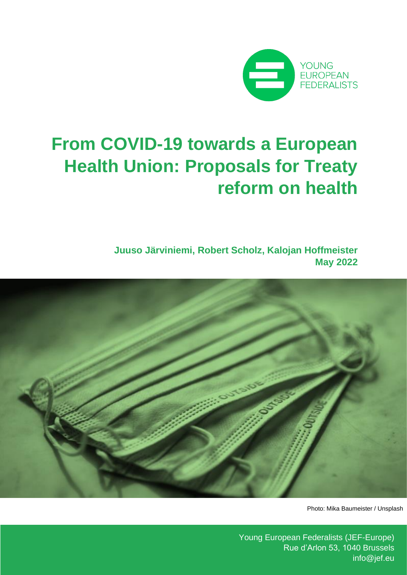

# **From COVID-19 towards a European Health Union: Proposals for Treaty reform on health**

**Juuso Järviniemi, Robert Scholz, Kalojan Hoffmeister May 2022**



Photo: Mika Baumeister / Unsplash

Young European Federalists (JEF-Europe) Rue d'Arlon 53, 1040 Brussels info@jef.eu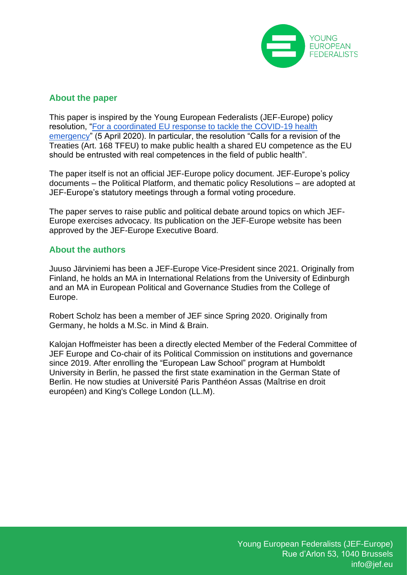

#### **About the paper**

This paper is inspired by the Young European Federalists (JEF-Europe) policy resolution, ["For a coordinated EU response to tackle the COVID-19 health](https://jef.eu/resolution/for-a-coordinated-eu-response-to-tackle-the-covid-19-health-emergency/)  [emergency"](https://jef.eu/resolution/for-a-coordinated-eu-response-to-tackle-the-covid-19-health-emergency/) (5 April 2020). In particular, the resolution "Calls for a revision of the Treaties (Art. 168 TFEU) to make public health a shared EU competence as the EU should be entrusted with real competences in the field of public health".

The paper itself is not an official JEF-Europe policy document. JEF-Europe's policy documents – the Political Platform, and thematic policy Resolutions – are adopted at JEF-Europe's statutory meetings through a formal voting procedure.

The paper serves to raise public and political debate around topics on which JEF-Europe exercises advocacy. Its publication on the JEF-Europe website has been approved by the JEF-Europe Executive Board.

#### **About the authors**

Juuso Järviniemi has been a JEF-Europe Vice-President since 2021. Originally from Finland, he holds an MA in International Relations from the University of Edinburgh and an MA in European Political and Governance Studies from the College of Europe.

Robert Scholz has been a member of JEF since Spring 2020. Originally from Germany, he holds a M.Sc. in Mind & Brain.

Kalojan Hoffmeister has been a directly elected Member of the Federal Committee of JEF Europe and Co-chair of its Political Commission on institutions and governance since 2019. After enrolling the "European Law School" program at Humboldt University in Berlin, he passed the first state examination in the German State of Berlin. He now studies at Université Paris Panthéon Assas (Maîtrise en droit européen) and King's College London (LL.M).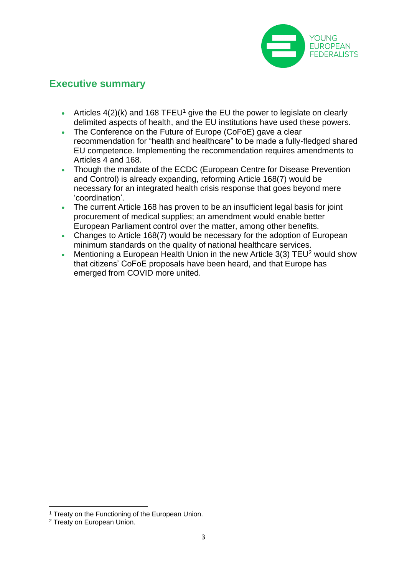

## <span id="page-2-0"></span>**Executive summary**

- Articles  $4(2)(k)$  and 168 TFEU<sup>1</sup> give the EU the power to legislate on clearly delimited aspects of health, and the EU institutions have used these powers.
- The Conference on the Future of Europe (CoFoE) gave a clear recommendation for "health and healthcare" to be made a fully-fledged shared EU competence. Implementing the recommendation requires amendments to Articles 4 and 168.
- Though the mandate of the ECDC (European Centre for Disease Prevention and Control) is already expanding, reforming Article 168(7) would be necessary for an integrated health crisis response that goes beyond mere 'coordination'.
- The current Article 168 has proven to be an insufficient legal basis for joint procurement of medical supplies; an amendment would enable better European Parliament control over the matter, among other benefits.
- Changes to Article 168(7) would be necessary for the adoption of European minimum standards on the quality of national healthcare services.
- Mentioning a European Health Union in the new Article  $3(3)$  TEU<sup>2</sup> would show that citizens' CoFoE proposals have been heard, and that Europe has emerged from COVID more united.

<sup>&</sup>lt;sup>1</sup> Treaty on the Functioning of the European Union.

<sup>2</sup> Treaty on European Union.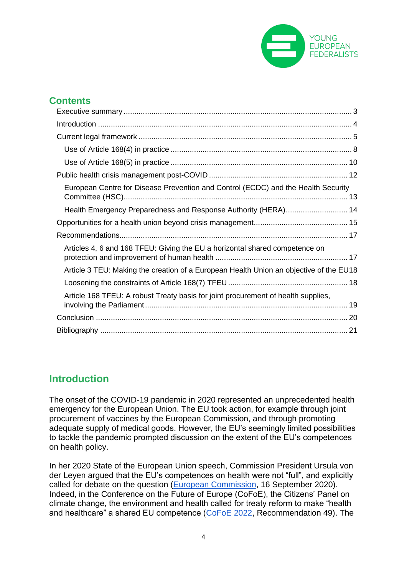

## **Contents**

| European Centre for Disease Prevention and Control (ECDC) and the Health Security      |
|----------------------------------------------------------------------------------------|
| Health Emergency Preparedness and Response Authority (HERA) 14                         |
|                                                                                        |
|                                                                                        |
| Articles 4, 6 and 168 TFEU: Giving the EU a horizontal shared competence on            |
| Article 3 TEU: Making the creation of a European Health Union an objective of the EU18 |
|                                                                                        |
| Article 168 TFEU: A robust Treaty basis for joint procurement of health supplies,      |
|                                                                                        |
|                                                                                        |

# <span id="page-3-0"></span>**Introduction**

The onset of the COVID-19 pandemic in 2020 represented an unprecedented health emergency for the European Union. The EU took action, for example through joint procurement of vaccines by the European Commission, and through promoting adequate supply of medical goods. However, the EU's seemingly limited possibilities to tackle the pandemic prompted discussion on the extent of the EU's competences on health policy.

In her 2020 State of the European Union speech, Commission President Ursula von der Leyen argued that the EU's competences on health were not "full", and explicitly called for debate on the question [\(European Commission,](https://ec.europa.eu/commission/presscorner/detail/en/SPEECH_20_1655) 16 September 2020). Indeed, in the Conference on the Future of Europe (CoFoE), the Citizens' Panel on climate change, the environment and health called for treaty reform to make "health and healthcare" a shared EU competence [\(CoFoE 2022,](https://futureu.europa.eu/assemblies/citizens-panels/f/300/?locale=en) Recommendation 49). The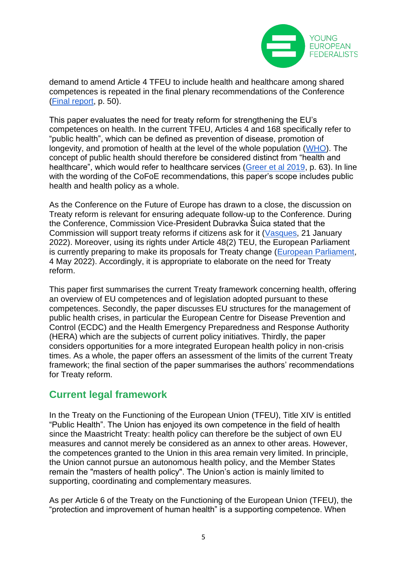

demand to amend Article 4 TFEU to include health and healthcare among shared competences is repeated in the final plenary recommendations of the Conference [\(Final report,](https://futureu.europa.eu/pages/reporting) p. 50).

This paper evaluates the need for treaty reform for strengthening the EU's competences on health. In the current TFEU, Articles 4 and 168 specifically refer to "public health", which can be defined as prevention of disease, promotion of longevity, and promotion of health at the level of the whole population [\(WHO\)](https://www.euro.who.int/en/health-topics/Health-systems/public-health-services/public-health-services). The concept of public health should therefore be considered distinct from "health and healthcare", which would refer to healthcare services [\(Greer et al 2019,](https://www.ncbi.nlm.nih.gov/books/NBK551086/pdf/Bookshelf_NBK551086.pdf) p. 63). In line with the wording of the CoFoE recommendations, this paper's scope includes public health and health policy as a whole.

As the Conference on the Future of Europe has drawn to a close, the discussion on Treaty reform is relevant for ensuring adequate follow-up to the Conference. During the Conference, Commission Vice-President Dubravka Šuica stated that the Commission will support treaty reforms if citizens ask for it [\(Vasques,](https://www.euractiv.com/section/future-eu/interview/suica-commission-will-support-changes-to-treaties-if-citizens-ask/) 21 January 2022). Moreover, using its rights under Article 48(2) TEU, the European Parliament is currently preparing to make its proposals for Treaty change [\(European Parliament,](https://www.europarl.europa.eu/news/en/press-room/20220429IPR28227/treaty-review-necessary-to-implement-conference-proposals-parliament-declares) 4 May 2022). Accordingly, it is appropriate to elaborate on the need for Treaty reform.

This paper first summarises the current Treaty framework concerning health, offering an overview of EU competences and of legislation adopted pursuant to these competences. Secondly, the paper discusses EU structures for the management of public health crises, in particular the European Centre for Disease Prevention and Control (ECDC) and the Health Emergency Preparedness and Response Authority (HERA) which are the subjects of current policy initiatives. Thirdly, the paper considers opportunities for a more integrated European health policy in non-crisis times. As a whole, the paper offers an assessment of the limits of the current Treaty framework; the final section of the paper summarises the authors' recommendations for Treaty reform.

## <span id="page-4-0"></span>**Current legal framework**

In the Treaty on the Functioning of the European Union (TFEU), Title XIV is entitled "Public Health". The Union has enjoyed its own competence in the field of health since the Maastricht Treaty: health policy can therefore be the subject of own EU measures and cannot merely be considered as an annex to other areas. However, the competences granted to the Union in this area remain very limited. In principle, the Union cannot pursue an autonomous health policy, and the Member States remain the "masters of health policy". The Union's action is mainly limited to supporting, coordinating and complementary measures.

As per Article 6 of the Treaty on the Functioning of the European Union (TFEU), the "protection and improvement of human health" is a supporting competence. When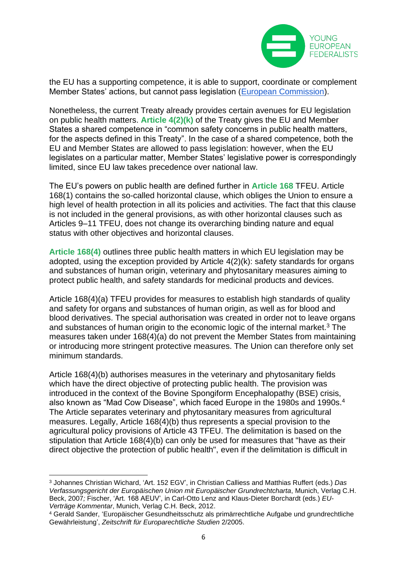

the EU has a supporting competence, it is able to support, coordinate or complement Member States' actions, but cannot pass legislation [\(European Commission\)](https://ec.europa.eu/info/about-european-commission/what-european-commission-does/law/areas-eu-action_en).

Nonetheless, the current Treaty already provides certain avenues for EU legislation on public health matters. **Article 4(2)(k)** of the Treaty gives the EU and Member States a shared competence in "common safety concerns in public health matters, for the aspects defined in this Treaty". In the case of a shared competence, both the EU and Member States are allowed to pass legislation: however, when the EU legislates on a particular matter, Member States' legislative power is correspondingly limited, since EU law takes precedence over national law.

The EU's powers on public health are defined further in **Article 168** TFEU. Article 168(1) contains the so-called horizontal clause, which obliges the Union to ensure a high level of health protection in all its policies and activities. The fact that this clause is not included in the general provisions, as with other horizontal clauses such as Articles 9–11 TFEU, does not change its overarching binding nature and equal status with other objectives and horizontal clauses.

**Article 168(4)** outlines three public health matters in which EU legislation may be adopted, using the exception provided by Article 4(2)(k): safety standards for organs and substances of human origin, veterinary and phytosanitary measures aiming to protect public health, and safety standards for medicinal products and devices.

Article 168(4)(a) TFEU provides for measures to establish high standards of quality and safety for organs and substances of human origin, as well as for blood and blood derivatives. The special authorisation was created in order not to leave organs and substances of human origin to the economic logic of the internal market.<sup>3</sup> The measures taken under 168(4)(a) do not prevent the Member States from maintaining or introducing more stringent protective measures. The Union can therefore only set minimum standards.

Article 168(4)(b) authorises measures in the veterinary and phytosanitary fields which have the direct objective of protecting public health. The provision was introduced in the context of the Bovine Spongiform Encephalopathy (BSE) crisis, also known as "Mad Cow Disease", which faced Europe in the 1980s and 1990s.<sup>4</sup> The Article separates veterinary and phytosanitary measures from agricultural measures. Legally, Article 168(4)(b) thus represents a special provision to the agricultural policy provisions of Article 43 TFEU. The delimitation is based on the stipulation that Article 168(4)(b) can only be used for measures that "have as their direct objective the protection of public health", even if the delimitation is difficult in

<sup>3</sup> Johannes Christian Wichard, 'Art. 152 EGV', in Christian Calliess and Matthias Ruffert (eds.) *Das Verfassungsgericht der Europäischen Union mit Europäischer Grundrechtcharta*, Munich, Verlag C.H. Beck, 2007*;* Fischer, 'Art. 168 AEUV', in Carl-Otto Lenz and Klaus-Dieter Borchardt (eds.) *EU-Verträge Kommentar*, Munich, Verlag C.H. Beck, 2012.

<sup>4</sup> Gerald Sander, 'Europäischer Gesundheitsschutz als primärrechtliche Aufgabe und grundrechtliche Gewährleistung', *Zeitschrift für Europarechtliche Studien* 2/2005.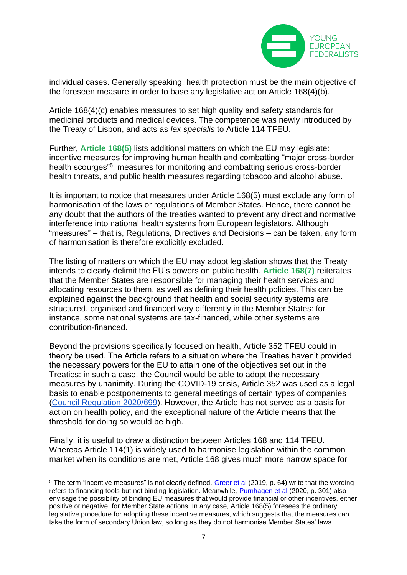

individual cases. Generally speaking, health protection must be the main objective of the foreseen measure in order to base any legislative act on Article 168(4)(b).

Article 168(4)(c) enables measures to set high quality and safety standards for medicinal products and medical devices. The competence was newly introduced by the Treaty of Lisbon, and acts as *lex specialis* to Article 114 TFEU.

Further, **Article 168(5)** lists additional matters on which the EU may legislate: incentive measures for improving human health and combatting "major cross-border health scourges"<sup>5</sup>, measures for monitoring and combatting serious cross-border health threats, and public health measures regarding tobacco and alcohol abuse.

It is important to notice that measures under Article 168(5) must exclude any form of harmonisation of the laws or regulations of Member States. Hence, there cannot be any doubt that the authors of the treaties wanted to prevent any direct and normative interference into national health systems from European legislators. Although "measures" – that is, Regulations, Directives and Decisions – can be taken, any form of harmonisation is therefore explicitly excluded.

The listing of matters on which the EU may adopt legislation shows that the Treaty intends to clearly delimit the EU's powers on public health. **Article 168(7)** reiterates that the Member States are responsible for managing their health services and allocating resources to them, as well as defining their health policies. This can be explained against the background that health and social security systems are structured, organised and financed very differently in the Member States: for instance, some national systems are tax-financed, while other systems are contribution-financed.

Beyond the provisions specifically focused on health, Article 352 TFEU could in theory be used. The Article refers to a situation where the Treaties haven't provided the necessary powers for the EU to attain one of the objectives set out in the Treaties: in such a case, the Council would be able to adopt the necessary measures by unanimity. During the COVID-19 crisis, Article 352 was used as a legal basis to enable postponements to general meetings of certain types of companies [\(Council Regulation 2020/699\)](https://eur-lex.europa.eu/eli/reg/2020/699/oj). However, the Article has not served as a basis for action on health policy, and the exceptional nature of the Article means that the threshold for doing so would be high.

Finally, it is useful to draw a distinction between Articles 168 and 114 TFEU. Whereas Article 114(1) is widely used to harmonise legislation within the common market when its conditions are met, Article 168 gives much more narrow space for

<sup>5</sup> The term "incentive measures" is not clearly defined. [Greer et al](https://www.ncbi.nlm.nih.gov/books/NBK551086/pdf/Bookshelf_NBK551086.pdf) (2019, p. 64) write that the wording refers to financing tools but not binding legislation. Meanwhile, [Purnhagen et al](https://doi.org/10.1017/err.2020.35) (2020, p. 301) also envisage the possibility of binding EU measures that would provide financial or other incentives, either positive or negative, for Member State actions. In any case, Article 168(5) foresees the ordinary legislative procedure for adopting these incentive measures, which suggests that the measures can take the form of secondary Union law, so long as they do not harmonise Member States' laws.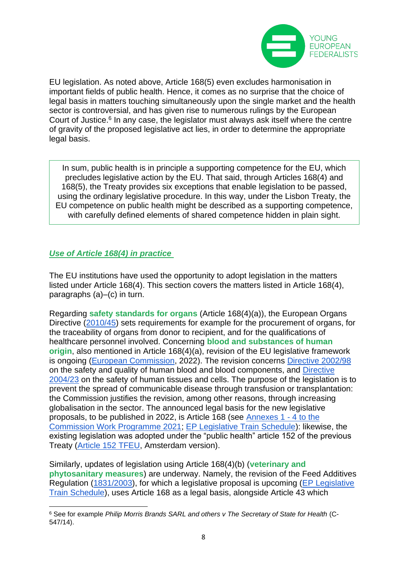

EU legislation. As noted above, Article 168(5) even excludes harmonisation in important fields of public health. Hence, it comes as no surprise that the choice of legal basis in matters touching simultaneously upon the single market and the health sector is controversial, and has given rise to numerous rulings by the European Court of Justice.<sup>6</sup> In any case, the legislator must always ask itself where the centre of gravity of the proposed legislative act lies, in order to determine the appropriate legal basis.

In sum, public health is in principle a supporting competence for the EU, which precludes legislative action by the EU. That said, through Articles 168(4) and 168(5), the Treaty provides six exceptions that enable legislation to be passed, using the ordinary legislative procedure. In this way, under the Lisbon Treaty, the EU competence on public health might be described as a supporting competence, with carefully defined elements of shared competence hidden in plain sight.

#### <span id="page-7-0"></span>*Use of Article 168(4) in practice*

The EU institutions have used the opportunity to adopt legislation in the matters listed under Article 168(4). This section covers the matters listed in Article 168(4), paragraphs (a)–(c) in turn.

Regarding **safety standards for organs** (Article 168(4)(a)), the European Organs Directive [\(2010/45\)](https://eur-lex.europa.eu/legal-content/EN/ALL/?uri=CELEX:32010L0053) sets requirements for example for the procurement of organs, for the traceability of organs from donor to recipient, and for the qualifications of healthcare personnel involved. Concerning **blood and substances of human origin**, also mentioned in Article 168(4)(a), revision of the EU legislative framework is ongoing [\(European Commission,](https://ec.europa.eu/health/blood-tissues-cells-and-organs/overview/revision-eu-legislation-blood-tissues-and-cells_en) 2022). The revision concerns [Directive 2002/98](https://eur-lex.europa.eu/eli/dir/2002/98/oj) on the safety and quality of human blood and blood components, and [Directive](https://eur-lex.europa.eu/eli/dir/2004/23/oj)  [2004/23](https://eur-lex.europa.eu/eli/dir/2004/23/oj) on the safety of human tissues and cells. The purpose of the legislation is to prevent the spread of communicable disease through transfusion or transplantation: the Commission justifies the revision, among other reasons, through increasing globalisation in the sector. The announced legal basis for the new legislative proposals, to be published in 2022, is Article 168 (see [Annexes 1 -](https://ec.europa.eu/info/sites/default/files/2021_commission_work_programme_annexes_en.pdf) 4 to the [Commission Work Programme 2021;](https://ec.europa.eu/info/sites/default/files/2021_commission_work_programme_annexes_en.pdf) [EP Legislative Train Schedule\)](https://www.europarl.europa.eu/legislative-train/theme-promoting-our-european-way-of-life/file-revision-of-the-blood-tissues-and-cells-legislation): likewise, the existing legislation was adopted under the "public health" article 152 of the previous Treaty [\(Article 152 TFEU,](http://hrlibrary.umn.edu/instree/EUAmsterdam-treaty.pdf) Amsterdam version).

Similarly, updates of legislation using Article 168(4)(b) (**veterinary and phytosanitary measures**) are underway. Namely, the revision of the Feed Additives Regulation [\(1831/2003\)](https://eur-lex.europa.eu/legal-content/EN/TXT/?uri=CELEX%3A32003R1831), for which a legislative proposal is upcoming [\(EP Legislative](https://www.europarl.europa.eu/legislative-train/theme-a-european-green-deal/file-revisio-of-the-feed-additives-regulation)  [Train Schedule\)](https://www.europarl.europa.eu/legislative-train/theme-a-european-green-deal/file-revisio-of-the-feed-additives-regulation), uses Article 168 as a legal basis, alongside Article 43 which

<sup>6</sup> See for example *Philip Morris Brands SARL and others v The Secretary of State for Health* (C-547/14).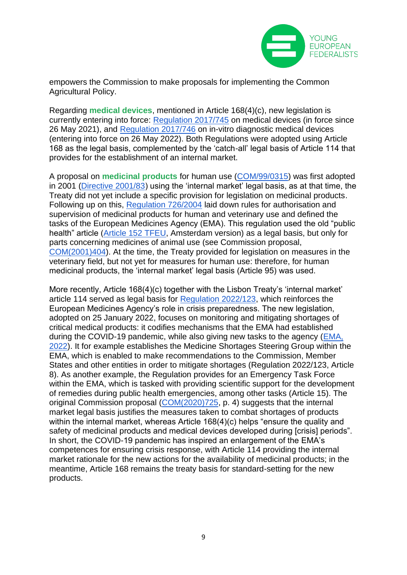

empowers the Commission to make proposals for implementing the Common Agricultural Policy.

Regarding **medical devices**, mentioned in Article 168(4)(c), new legislation is currently entering into force: [Regulation 2017/745](https://eur-lex.europa.eu/eli/reg/2017/745/oj) on medical devices (in force since 26 May 2021), and [Regulation 2017/746](https://eur-lex.europa.eu/eli/reg/2017/746/oj) on in-vitro diagnostic medical devices (entering into force on 26 May 2022). Both Regulations were adopted using Article 168 as the legal basis, complemented by the 'catch-all' legal basis of Article 114 that provides for the establishment of an internal market.

A proposal on **medicinal products** for human use [\(COM/99/0315\)](https://eur-lex.europa.eu/legal-content/EN/TXT/PDF/?uri=CELEX:51999PC0315) was first adopted in 2001 [\(Directive 2001/83\)](https://eur-lex.europa.eu/eli/dir/2001/83/oj) using the 'internal market' legal basis, as at that time, the Treaty did not yet include a specific provision for legislation on medicinal products. Following up on this, [Regulation 726/2004](https://eur-lex.europa.eu/eli/reg/2004/726/oj) laid down rules for authorisation and supervision of medicinal products for human and veterinary use and defined the tasks of the European Medicines Agency (EMA). This regulation used the old "public health" article [\(Article 152 TFEU,](http://hrlibrary.umn.edu/instree/EUAmsterdam-treaty.pdf) Amsterdam version) as a legal basis, but only for parts concerning medicines of animal use (see Commission proposal, [COM\(2001\)404\)](https://eur-lex.europa.eu/legal-content/EN/TXT/PDF/?uri=COM:2001:404:FIN). At the time, the Treaty provided for legislation on measures in the veterinary field, but not yet for measures for human use: therefore, for human medicinal products, the 'internal market' legal basis (Article 95) was used.

More recently, Article 168(4)(c) together with the Lisbon Treaty's 'internal market' article 114 served as legal basis for [Regulation 2022/123,](https://eur-lex.europa.eu/eli/reg/2022/123/oj) which reinforces the European Medicines Agency's role in crisis preparedness. The new legislation, adopted on 25 January 2022, focuses on monitoring and mitigating shortages of critical medical products: it codifies mechanisms that the EMA had established during the COVID-19 pandemic, while also giving new tasks to the agency [\(EMA,](https://www.ema.europa.eu/en/news/stronger-role-ema)  [2022\)](https://www.ema.europa.eu/en/news/stronger-role-ema). It for example establishes the Medicine Shortages Steering Group within the EMA, which is enabled to make recommendations to the Commission, Member States and other entities in order to mitigate shortages (Regulation 2022/123, Article 8). As another example, the Regulation provides for an Emergency Task Force within the EMA, which is tasked with providing scientific support for the development of remedies during public health emergencies, among other tasks (Article 15). The original Commission proposal [\(COM\(2020\)725,](https://eur-lex.europa.eu/legal-content/EN/TXT/?uri=CELEX%3A52020PC0725) p. 4) suggests that the internal market legal basis justifies the measures taken to combat shortages of products within the internal market, whereas Article 168(4)(c) helps "ensure the quality and safety of medicinal products and medical devices developed during [crisis] periods". In short, the COVID-19 pandemic has inspired an enlargement of the EMA's competences for ensuring crisis response, with Article 114 providing the internal market rationale for the new actions for the availability of medicinal products; in the meantime, Article 168 remains the treaty basis for standard-setting for the new products.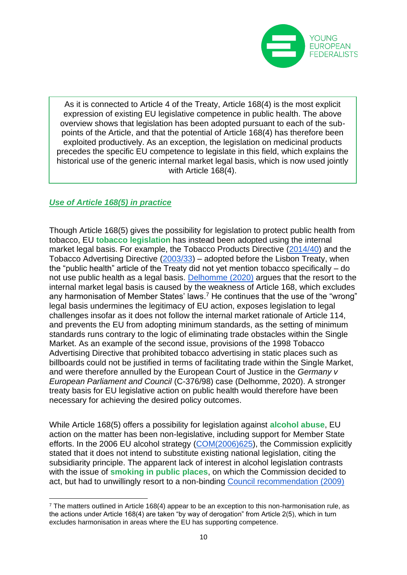

As it is connected to Article 4 of the Treaty, Article 168(4) is the most explicit expression of existing EU legislative competence in public health. The above overview shows that legislation has been adopted pursuant to each of the subpoints of the Article, and that the potential of Article 168(4) has therefore been exploited productively. As an exception, the legislation on medicinal products precedes the specific EU competence to legislate in this field, which explains the historical use of the generic internal market legal basis, which is now used jointly with Article 168(4).

#### <span id="page-9-0"></span>*Use of Article 168(5) in practice*

Though Article 168(5) gives the possibility for legislation to protect public health from tobacco, EU **tobacco legislation** has instead been adopted using the internal market legal basis. For example, the Tobacco Products Directive [\(2014/40\)](https://eur-lex.europa.eu/eli/dir/2014/40/oj) and the Tobacco Advertising Directive [\(2003/33\)](https://eur-lex.europa.eu/eli/dir/2003/33/oj) – adopted before the Lisbon Treaty, when the "public health" article of the Treaty did not yet mention tobacco specifically – do not use public health as a legal basis. [Delhomme \(2020\)](https://doi.org/10.1017/err.2020.85) argues that the resort to the internal market legal basis is caused by the weakness of Article 168, which excludes any harmonisation of Member States' laws.<sup>7</sup> He continues that the use of the "wrong" legal basis undermines the legitimacy of EU action, exposes legislation to legal challenges insofar as it does not follow the internal market rationale of Article 114, and prevents the EU from adopting minimum standards, as the setting of minimum standards runs contrary to the logic of eliminating trade obstacles within the Single Market. As an example of the second issue, provisions of the 1998 Tobacco Advertising Directive that prohibited tobacco advertising in static places such as billboards could not be justified in terms of facilitating trade within the Single Market, and were therefore annulled by the European Court of Justice in the *Germany v European Parliament and Council* (C-376/98) case (Delhomme, 2020). A stronger treaty basis for EU legislative action on public health would therefore have been necessary for achieving the desired policy outcomes.

While Article 168(5) offers a possibility for legislation against **alcohol abuse**, EU action on the matter has been non-legislative, including support for Member State efforts. In the 2006 EU alcohol strategy [\(COM\(2006\)625\)](https://eur-lex.europa.eu/legal-content/EN/TXT/PDF/?uri=CELEX:52006DC0625&from=EN), the Commission explicitly stated that it does not intend to substitute existing national legislation, citing the subsidiarity principle. The apparent lack of interest in alcohol legislation contrasts with the issue of **smoking in public places**, on which the Commission decided to act, but had to unwillingly resort to a non-binding [Council recommendation \(2009\)](https://eur-lex.europa.eu/legal-content/EN/ALL/?uri=CELEX%3A32009H1205%2801%29)

 $7$  The matters outlined in Article 168(4) appear to be an exception to this non-harmonisation rule, as the actions under Article 168(4) are taken "by way of derogation" from Article 2(5), which in turn excludes harmonisation in areas where the EU has supporting competence.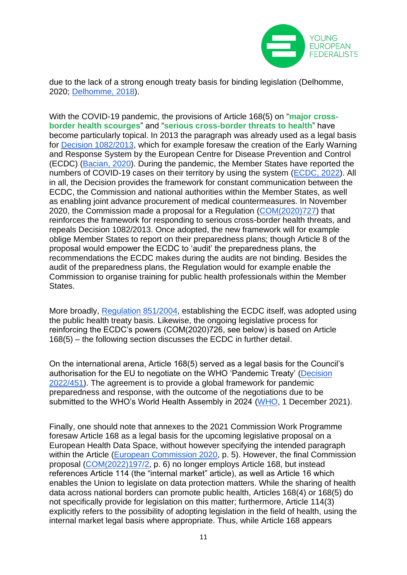

due to the lack of a strong enough treaty basis for binding legislation (Delhomme, 2020; [Delhomme, 2018\)](http://aei.pitt.edu/97337/1/delhomme_cepob_8-18.pdf).

With the COVID-19 pandemic, the provisions of Article 168(5) on "**major crossborder health scourges**" and "**serious cross-border threats to health**" have become particularly topical. In 2013 the paragraph was already used as a legal basis for [Decision 1082/2013,](https://eur-lex.europa.eu/eli/dec/2013/1082/oj) which for example foresaw the creation of the Early Warning and Response System by the European Centre for Disease Prevention and Control (ECDC) [\(Bacian, 2020\)](https://www.europarl.europa.eu/RegData/etudes/ATAG/2020/642823/EPRS_ATA(2020)642823_EN.pdf). During the pandemic, the Member States have reported the numbers of COVID-19 cases on their territory by using the system [\(ECDC, 2022\)](https://www.ecdc.europa.eu/en/covid-19/surveillance). All in all, the Decision provides the framework for constant communication between the ECDC, the Commission and national authorities within the Member States, as well as enabling joint advance procurement of medical countermeasures. In November 2020, the Commission made a proposal for a Regulation [\(COM\(2020\)727\)](https://eur-lex.europa.eu/legal-content/EN/ALL/?uri=COM:2020:727:FIN) that reinforces the framework for responding to serious cross-border health threats, and repeals Decision 1082/2013. Once adopted, the new framework will for example oblige Member States to report on their preparedness plans; though Article 8 of the proposal would empower the ECDC to 'audit' the preparedness plans, the recommendations the ECDC makes during the audits are not binding. Besides the audit of the preparedness plans, the Regulation would for example enable the Commission to organise training for public health professionals within the Member States.

More broadly, [Regulation 851/2004,](https://eur-lex.europa.eu/legal-content/EN/TXT/?uri=celex:32004R0851) establishing the ECDC itself, was adopted using the public health treaty basis. Likewise, the ongoing legislative process for reinforcing the ECDC's powers (COM(2020)726, see below) is based on Article 168(5) – the following section discusses the ECDC in further detail.

On the international arena, Article 168(5) served as a legal basis for the Council's authorisation for the EU to negotiate on the WHO 'Pandemic Treaty' [\(Decision](https://eur-lex.europa.eu/eli/dec/2022/451/oj)  [2022/451\)](https://eur-lex.europa.eu/eli/dec/2022/451/oj). The agreement is to provide a global framework for pandemic preparedness and response, with the outcome of the negotiations due to be submitted to the WHO's World Health Assembly in 2024 [\(WHO,](https://www.who.int/news/item/01-12-2021-world-health-assembly-agrees-to-launch-process-to-develop-historic-global-accord-on-pandemic-prevention-preparedness-and-response) 1 December 2021).

Finally, one should note that annexes to the 2021 Commission Work Programme foresaw Article 168 as a legal basis for the upcoming legislative proposal on a European Health Data Space, without however specifying the intended paragraph within the Article [\(European Commission 2020,](https://ec.europa.eu/info/sites/default/files/2021_commission_work_programme_annexes_en.pdf) p. 5). However, the final Commission proposal [\(COM\(2022\)197/2,](https://eur-lex.europa.eu/legal-content/EN/TXT/?uri=CELEX%3A52022PC0197) p. 6) no longer employs Article 168, but instead references Article 114 (the "internal market" article), as well as Article 16 which enables the Union to legislate on data protection matters. While the sharing of health data across national borders can promote public health, Articles 168(4) or 168(5) do not specifically provide for legislation on this matter; furthermore, Article 114(3) explicitly refers to the possibility of adopting legislation in the field of health, using the internal market legal basis where appropriate. Thus, while Article 168 appears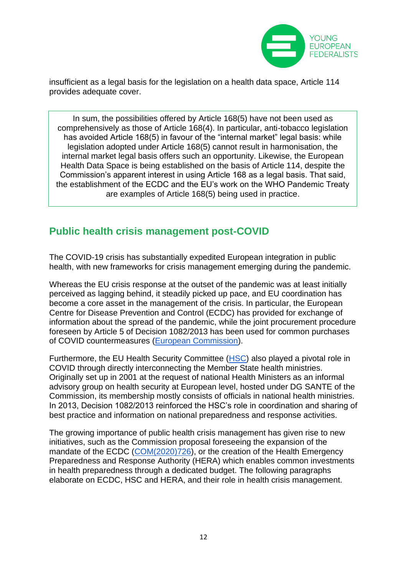

insufficient as a legal basis for the legislation on a health data space, Article 114 provides adequate cover.

In sum, the possibilities offered by Article 168(5) have not been used as comprehensively as those of Article 168(4). In particular, anti-tobacco legislation has avoided Article 168(5) in favour of the "internal market" legal basis: while legislation adopted under Article 168(5) cannot result in harmonisation, the internal market legal basis offers such an opportunity. Likewise, the European Health Data Space is being established on the basis of Article 114, despite the Commission's apparent interest in using Article 168 as a legal basis. That said, the establishment of the ECDC and the EU's work on the WHO Pandemic Treaty are examples of Article 168(5) being used in practice.

# <span id="page-11-0"></span>**Public health crisis management post-COVID**

The COVID-19 crisis has substantially expedited European integration in public health, with new frameworks for crisis management emerging during the pandemic.

Whereas the EU crisis response at the outset of the pandemic was at least initially perceived as lagging behind, it steadily picked up pace, and EU coordination has become a core asset in the management of the crisis. In particular, the European Centre for Disease Prevention and Control (ECDC) has provided for exchange of information about the spread of the pandemic, while the joint procurement procedure foreseen by Article 5 of Decision 1082/2013 has been used for common purchases of COVID countermeasures [\(European Commission\)](https://ec.europa.eu/health/health-security-and-infectious-diseases/preparedness-and-response_en).

Furthermore, the EU Health Security Committee [\(HSC\)](https://ec.europa.eu/health/health-security-and-infectious-diseases/preparedness-and-response/health-security-committee-hsc_en) also played a pivotal role in COVID through directly interconnecting the Member State health ministries. Originally set up in 2001 at the request of national Health Ministers as an informal advisory group on health security at European level, hosted under DG SANTE of the Commission, its membership mostly consists of officials in national health ministries. In 2013, Decision 1082/2013 reinforced the HSC's role in coordination and sharing of best practice and information on national preparedness and response activities.

The growing importance of public health crisis management has given rise to new initiatives, such as the Commission proposal foreseeing the expansion of the mandate of the ECDC [\(COM\(2020\)726\)](https://eur-lex.europa.eu/legal-content/EN/TXT/?uri=CELEX:52020PC0726), or the creation of the Health Emergency Preparedness and Response Authority (HERA) which enables common investments in health preparedness through a dedicated budget. The following paragraphs elaborate on ECDC, HSC and HERA, and their role in health crisis management.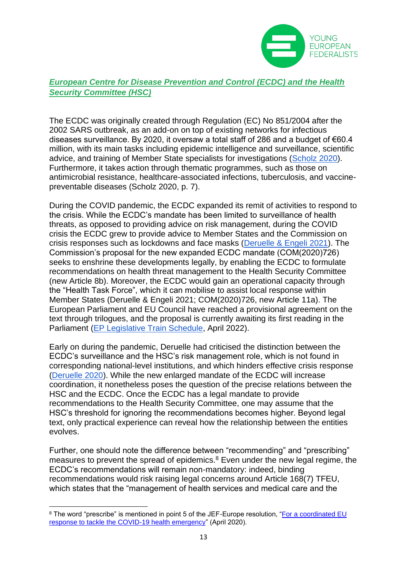

<span id="page-12-0"></span>*European Centre for Disease Prevention and Control (ECDC) and the Health Security Committee (HSC)*

The ECDC was originally created through Regulation (EC) No 851/2004 after the 2002 SARS outbreak, as an add-on on top of existing networks for infectious diseases surveillance. By 2020, it oversaw a total staff of 286 and a budget of €60.4 million, with its main tasks including epidemic intelligence and surveillance, scientific advice, and training of Member State specialists for investigations [\(Scholz](https://www.europarl.europa.eu/RegData/etudes/BRIE/2020/651973/EPRS_BRI(2020)651973_EN.pdf) 2020). Furthermore, it takes action through thematic programmes, such as those on antimicrobial resistance, healthcare-associated infections, tuberculosis, and vaccinepreventable diseases (Scholz 2020, p. 7).

During the COVID pandemic, the ECDC expanded its remit of activities to respond to the crisis. While the ECDC's mandate has been limited to surveillance of health threats, as opposed to providing advice on risk management, during the COVID crisis the ECDC grew to provide advice to Member States and the Commission on crisis responses such as lockdowns and face masks [\(Deruelle & Engeli 2021\)](https://doi.org/10.1080/01402382.2021.1930426). The Commission's proposal for the new expanded ECDC mandate (COM(2020)726) seeks to enshrine these developments legally, by enabling the ECDC to formulate recommendations on health threat management to the Health Security Committee (new Article 8b). Moreover, the ECDC would gain an operational capacity through the "Health Task Force", which it can mobilise to assist local response within Member States (Deruelle & Engeli 2021; COM(2020)726, new Article 11a). The European Parliament and EU Council have reached a provisional agreement on the text through trilogues, and the proposal is currently awaiting its first reading in the Parliament [\(EP Legislative Train Schedule,](https://www.europarl.europa.eu/legislative-train/theme-environment-public-health-and-food-safety-envi/file-ecdc-mandate-extension?sid=04-2022) April 2022).

Early on during the pandemic, Deruelle had criticised the distinction between the ECDC's surveillance and the HSC's risk management role, which is not found in corresponding national-level institutions, and which hinders effective crisis response [\(Deruelle 2020\)](https://reconnect-europe.eu/blog/framing-public-health-expectations-in-the-eu-amid-the-covid-19-pandemic/). While the new enlarged mandate of the ECDC will increase coordination, it nonetheless poses the question of the precise relations between the HSC and the ECDC. Once the ECDC has a legal mandate to provide recommendations to the Health Security Committee, one may assume that the HSC's threshold for ignoring the recommendations becomes higher. Beyond legal text, only practical experience can reveal how the relationship between the entities evolves.

Further, one should note the difference between "recommending" and "prescribing" measures to prevent the spread of epidemics. $8$  Even under the new legal regime, the ECDC's recommendations will remain non-mandatory: indeed, binding recommendations would risk raising legal concerns around Article 168(7) TFEU, which states that the "management of health services and medical care and the

<sup>&</sup>lt;sup>8</sup> The word "prescribe" is mentioned in point 5 of the JEF-Europe resolution, "For a coordinated EU [response to tackle the COVID-19 health emergency"](https://jef.eu/resolution/for-a-coordinated-eu-response-to-tackle-the-covid-19-health-emergency/) (April 2020).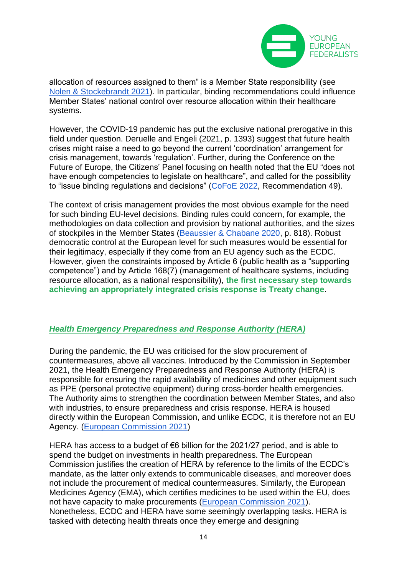

allocation of resources assigned to them" is a Member State responsibility (see [Nolen & Stockebrandt 2021\)](https://www.cep.eu/fileadmin/user_upload/cep.eu/Analysen/COM_2020_726_ECDC/cepPolicyBrief_European_Centre_for_Disease_Prevention_and_Control_COM_2020__726.pdf). In particular, binding recommendations could influence Member States' national control over resource allocation within their healthcare systems.

However, the COVID-19 pandemic has put the exclusive national prerogative in this field under question. Deruelle and Engeli (2021, p. 1393) suggest that future health crises might raise a need to go beyond the current 'coordination' arrangement for crisis management, towards 'regulation'. Further, during the Conference on the Future of Europe, the Citizens' Panel focusing on health noted that the EU "does not have enough competencies to legislate on healthcare", and called for the possibility to "issue binding regulations and decisions" [\(CoFoE 2022,](https://futureu.europa.eu/assemblies/citizens-panels/f/300/?locale=en) Recommendation 49).

The context of crisis management provides the most obvious example for the need for such binding EU-level decisions. Binding rules could concern, for example, the methodologies on data collection and provision by national authorities, and the sizes of stockpiles in the Member States [\(Beaussier & Chabane 2020,](https://doi.org/10.1017/err.2020.80) p. 818). Robust democratic control at the European level for such measures would be essential for their legitimacy, especially if they come from an EU agency such as the ECDC. However, given the constraints imposed by Article 6 (public health as a "supporting competence") and by Article 168(7) (management of healthcare systems, including resource allocation, as a national responsibility), **the first necessary step towards achieving an appropriately integrated crisis response is Treaty change**.

#### <span id="page-13-0"></span>*Health Emergency Preparedness and Response Authority (HERA)*

During the pandemic, the EU was criticised for the slow procurement of countermeasures, above all vaccines. Introduced by the Commission in September 2021, the Health Emergency Preparedness and Response Authority (HERA) is responsible for ensuring the rapid availability of medicines and other equipment such as PPE (personal protective equipment) during cross-border health emergencies. The Authority aims to strengthen the coordination between Member States, and also with industries, to ensure preparedness and crisis response. HERA is housed directly within the European Commission, and unlike ECDC, it is therefore not an EU Agency. [\(European Commission 2021\)](https://ec.europa.eu/health/system/files/2021-09/hera_2021_comm_en_0.pdf)

HERA has access to a budget of €6 billion for the 2021/27 period, and is able to spend the budget on investments in health preparedness. The European Commission justifies the creation of HERA by reference to the limits of the ECDC's mandate, as the latter only extends to communicable diseases, and moreover does not include the procurement of medical countermeasures. Similarly, the European Medicines Agency (EMA), which certifies medicines to be used within the EU, does not have capacity to make procurements [\(European Commission 2021\)](https://ec.europa.eu/health/system/files/2021-09/hera_2021_comm_en_0.pdf). Nonetheless, ECDC and HERA have some seemingly overlapping tasks. HERA is tasked with detecting health threats once they emerge and designing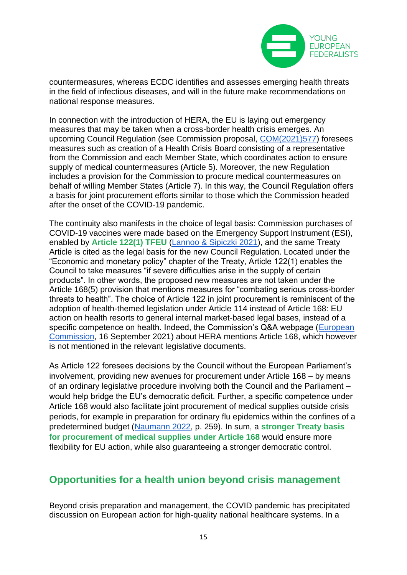

countermeasures, whereas ECDC identifies and assesses emerging health threats in the field of infectious diseases, and will in the future make recommendations on national response measures.

In connection with the introduction of HERA, the EU is laying out emergency measures that may be taken when a cross-border health crisis emerges. An upcoming Council Regulation (see Commission proposal, [COM\(2021\)577\)](https://eur-lex.europa.eu/legal-content/EN/TXT/?uri=COM:2021:577:FIN) foresees measures such as creation of a Health Crisis Board consisting of a representative from the Commission and each Member State, which coordinates action to ensure supply of medical countermeasures (Article 5). Moreover, the new Regulation includes a provision for the Commission to procure medical countermeasures on behalf of willing Member States (Article 7). In this way, the Council Regulation offers a basis for joint procurement efforts similar to those which the Commission headed after the onset of the COVID-19 pandemic.

The continuity also manifests in the choice of legal basis: Commission purchases of COVID-19 vaccines were made based on the Emergency Support Instrument (ESI), enabled by **Article 122(1) TFEU** [\(Lannoo & Sipiczki 2021\)](https://www.intereconomics.eu/contents/year/2021/number/3/article/the-eu-health-union-in-search-of-a-definition-and-an-open-discussion.html), and the same Treaty Article is cited as the legal basis for the new Council Regulation. Located under the "Economic and monetary policy" chapter of the Treaty, Article 122(1) enables the Council to take measures "if severe difficulties arise in the supply of certain products". In other words, the proposed new measures are not taken under the Article 168(5) provision that mentions measures for "combating serious cross-border threats to health". The choice of Article 122 in joint procurement is reminiscent of the adoption of health-themed legislation under Article 114 instead of Article 168: EU action on health resorts to general internal market-based legal bases, instead of a specific competence on health. Indeed, the Commission's Q&A webpage [\(European](https://ec.europa.eu/commission/presscorner/detail/en/qanda_21_4733)  [Commission,](https://ec.europa.eu/commission/presscorner/detail/en/qanda_21_4733) 16 September 2021) about HERA mentions Article 168, which however is not mentioned in the relevant legislative documents.

As Article 122 foresees decisions by the Council without the European Parliament's involvement, providing new avenues for procurement under Article 168 – by means of an ordinary legislative procedure involving both the Council and the Parliament – would help bridge the EU's democratic deficit. Further, a specific competence under Article 168 would also facilitate joint procurement of medical supplies outside crisis periods, for example in preparation for ordinary flu epidemics within the confines of a predetermined budget [\(Naumann 2022,](http://dx.doi.org/10.5040/9781509946396.ch-012) p. 259). In sum, a **stronger Treaty basis for procurement of medical supplies under Article 168** would ensure more flexibility for EU action, while also guaranteeing a stronger democratic control.

## <span id="page-14-0"></span>**Opportunities for a health union beyond crisis management**

Beyond crisis preparation and management, the COVID pandemic has precipitated discussion on European action for high-quality national healthcare systems. In a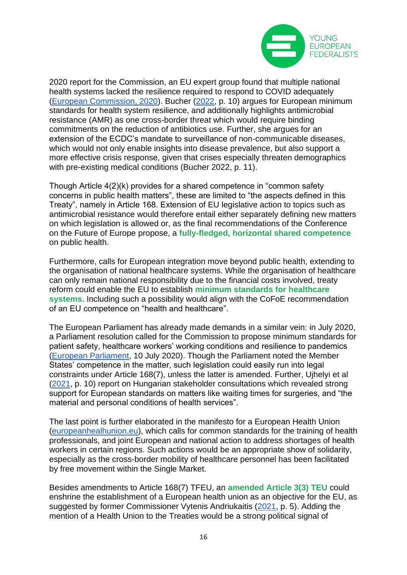

2020 report for the Commission, an EU expert group found that multiple national health systems lacked the resilience required to respond to COVID adequately [\(European Commission, 2020\)](https://ec.europa.eu/health/system/files/2021-10/2020_resilience_en_0.pdf). Bucher [\(2022,](https://www.bruegel.org/wp-content/uploads/2022/02/PC-02.pdf) p. 10) argues for European minimum standards for health system resilience, and additionally highlights antimicrobial resistance (AMR) as one cross-border threat which would require binding commitments on the reduction of antibiotics use. Further, she argues for an extension of the ECDC's mandate to surveillance of non-communicable diseases, which would not only enable insights into disease prevalence, but also support a more effective crisis response, given that crises especially threaten demographics with pre-existing medical conditions (Bucher 2022, p. 11).

Though Article 4(2)(k) provides for a shared competence in "common safety concerns in public health matters", these are limited to "the aspects defined in this Treaty", namely in Article 168. Extension of EU legislative action to topics such as antimicrobial resistance would therefore entail either separately defining new matters on which legislation is allowed or, as the final recommendations of the Conference on the Future of Europe propose, a **fully-fledged, horizontal shared competence** on public health.

Furthermore, calls for European integration move beyond public health, extending to the organisation of national healthcare systems. While the organisation of healthcare can only remain national responsibility due to the financial costs involved, treaty reform could enable the EU to establish **minimum standards for healthcare systems**. Including such a possibility would align with the CoFoE recommendation of an EU competence on "health and healthcare".

The European Parliament has already made demands in a similar vein: in July 2020, a Parliament resolution called for the Commission to propose minimum standards for patient safety, healthcare workers' working conditions and resilience to pandemics [\(European Parliament,](https://www.europarl.europa.eu/doceo/document/TA-9-2020-0205_EN.html) 10 July 2020). Though the Parliament noted the Member States' competence in the matter, such legislation could easily run into legal constraints under Article 168(7), unless the latter is amended. Further, Ujhelyi et al [\(2021,](https://www.feps-europe.eu/attachments/publications/feps%20policy%20brief%20eu%20health%20union%201.pdf) p. 10) report on Hungarian stakeholder consultations which revealed strong support for European standards on matters like waiting times for surgeries, and "the material and personal conditions of health services".

The last point is further elaborated in the manifesto for a European Health Union [\(europeanhealhunion.eu\)](https://europeanhealthunion.eu/#manifest), which calls for common standards for the training of health professionals, and joint European and national action to address shortages of health workers in certain regions. Such actions would be an appropriate show of solidarity, especially as the cross-border mobility of healthcare personnel has been facilitated by free movement within the Single Market.

Besides amendments to Article 168(7) TFEU, an **amended Article 3(3) TEU** could enshrine the establishment of a European health union as an objective for the EU, as suggested by former Commissioner Vytenis Andriukaitis [\(2021,](https://www.feps-europe.eu/attachments/publications/210930%20a%20eu%20health%20union_policy%20brief_v2.pdf) p. 5). Adding the mention of a Health Union to the Treaties would be a strong political signal of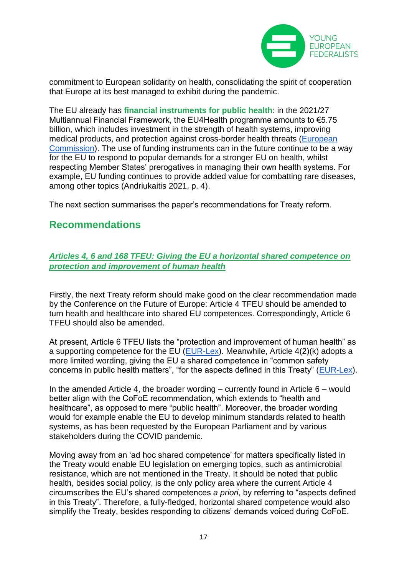

commitment to European solidarity on health, consolidating the spirit of cooperation that Europe at its best managed to exhibit during the pandemic.

The EU already has **financial instruments for public health**: in the 2021/27 Multiannual Financial Framework, the EU4Health programme amounts to €5.75 billion, which includes investment in the strength of health systems, improving medical products, and protection against cross-border health threats [\(European](https://ec.europa.eu/info/funding-tenders/find-funding/eu-funding-programmes/eu4health_en)  [Commission\)](https://ec.europa.eu/info/funding-tenders/find-funding/eu-funding-programmes/eu4health_en). The use of funding instruments can in the future continue to be a way for the EU to respond to popular demands for a stronger EU on health, whilst respecting Member States' prerogatives in managing their own health systems. For example, EU funding continues to provide added value for combatting rare diseases, among other topics (Andriukaitis 2021, p. 4).

The next section summarises the paper's recommendations for Treaty reform.

### <span id="page-16-0"></span>**Recommendations**

#### <span id="page-16-1"></span>*Articles 4, 6 and 168 TFEU: Giving the EU a horizontal shared competence on protection and improvement of human health*

Firstly, the next Treaty reform should make good on the clear recommendation made by the Conference on the Future of Europe: Article 4 TFEU should be amended to turn health and healthcare into shared EU competences. Correspondingly, Article 6 TFEU should also be amended.

At present, Article 6 TFEU lists the "protection and improvement of human health" as a supporting competence for the EU ( $EUR-Lex$ ). Meanwhile, Article  $4(2)(k)$  adopts a more limited wording, giving the EU a shared competence in "common safety concerns in public health matters", "for the aspects defined in this Treaty" [\(EUR-Lex\)](https://eur-lex.europa.eu/legal-content/EN/TXT/?uri=CELEX%3A12008E004).

In the amended Article 4, the broader wording – currently found in Article 6 – would better align with the CoFoE recommendation, which extends to "health and healthcare", as opposed to mere "public health". Moreover, the broader wording would for example enable the EU to develop minimum standards related to health systems, as has been requested by the European Parliament and by various stakeholders during the COVID pandemic.

Moving away from an 'ad hoc shared competence' for matters specifically listed in the Treaty would enable EU legislation on emerging topics, such as antimicrobial resistance, which are not mentioned in the Treaty. It should be noted that public health, besides social policy, is the only policy area where the current Article 4 circumscribes the EU's shared competences *a priori*, by referring to "aspects defined in this Treaty". Therefore, a fully-fledged, horizontal shared competence would also simplify the Treaty, besides responding to citizens' demands voiced during CoFoE.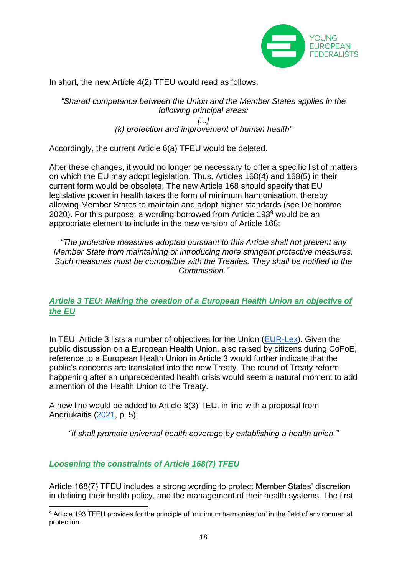

In short, the new Article 4(2) TFEU would read as follows:

#### *"Shared competence between the Union and the Member States applies in the following principal areas: [...] (k) protection and improvement of human health"*

Accordingly, the current Article 6(a) TFEU would be deleted.

After these changes, it would no longer be necessary to offer a specific list of matters on which the EU may adopt legislation. Thus, Articles 168(4) and 168(5) in their current form would be obsolete. The new Article 168 should specify that EU legislative power in health takes the form of minimum harmonisation, thereby allowing Member States to maintain and adopt higher standards (see Delhomme 2020). For this purpose, a wording borrowed from Article 193<sup>9</sup> would be an appropriate element to include in the new version of Article 168:

*"The protective measures adopted pursuant to this Article shall not prevent any Member State from maintaining or introducing more stringent protective measures. Such measures must be compatible with the Treaties. They shall be notified to the Commission."*

#### <span id="page-17-0"></span>*Article 3 TEU: Making the creation of a European Health Union an objective of the EU*

In TEU, Article 3 lists a number of objectives for the Union [\(EUR-Lex\)](https://eur-lex.europa.eu/legal-content/EN/TXT/HTML/?uri=CELEX:12008M003). Given the public discussion on a European Health Union, also raised by citizens during CoFoE, reference to a European Health Union in Article 3 would further indicate that the public's concerns are translated into the new Treaty. The round of Treaty reform happening after an unprecedented health crisis would seem a natural moment to add a mention of the Health Union to the Treaty.

A new line would be added to Article 3(3) TEU, in line with a proposal from Andriukaitis [\(2021,](https://www.feps-europe.eu/attachments/publications/210930%20a%20eu%20health%20union_policy%20brief_v2.pdf) p. 5):

*"It shall promote universal health coverage by establishing a health union."* 

#### <span id="page-17-1"></span>*Loosening the constraints of Article 168(7) TFEU*

Article 168(7) TFEU includes a strong wording to protect Member States' discretion in defining their health policy, and the management of their health systems. The first

<sup>9</sup> Article 193 TFEU provides for the principle of 'minimum harmonisation' in the field of environmental protection.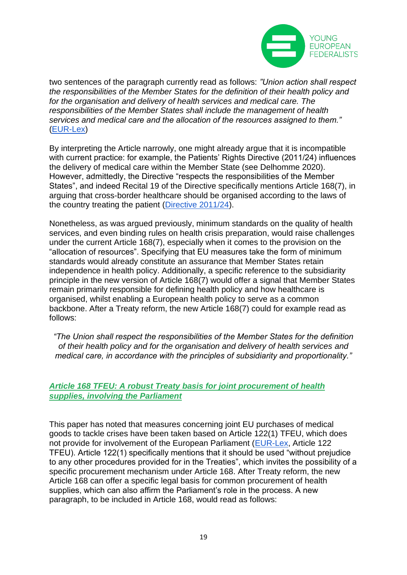

two sentences of the paragraph currently read as follows: *"Union action shall respect the responsibilities of the Member States for the definition of their health policy and for the organisation and delivery of health services and medical care. The responsibilities of the Member States shall include the management of health services and medical care and the allocation of the resources assigned to them."*  [\(EUR-Lex\)](https://eur-lex.europa.eu/legal-content/EN/TXT/?uri=CELEX%3A12008E168)

By interpreting the Article narrowly, one might already argue that it is incompatible with current practice: for example, the Patients' Rights Directive (2011/24) influences the delivery of medical care within the Member State (see Delhomme 2020). However, admittedly, the Directive "respects the responsibilities of the Member States", and indeed Recital 19 of the Directive specifically mentions Article 168(7), in arguing that cross-border healthcare should be organised according to the laws of the country treating the patient [\(Directive 2011/24\)](https://eur-lex.europa.eu/legal-content/EN/TXT/?uri=CELEX%3A32011L0024).

Nonetheless, as was argued previously, minimum standards on the quality of health services, and even binding rules on health crisis preparation, would raise challenges under the current Article 168(7), especially when it comes to the provision on the "allocation of resources". Specifying that EU measures take the form of minimum standards would already constitute an assurance that Member States retain independence in health policy. Additionally, a specific reference to the subsidiarity principle in the new version of Article 168(7) would offer a signal that Member States remain primarily responsible for defining health policy and how healthcare is organised, whilst enabling a European health policy to serve as a common backbone. After a Treaty reform, the new Article 168(7) could for example read as follows:

*"The Union shall respect the responsibilities of the Member States for the definition of their health policy and for the organisation and delivery of health services and medical care, in accordance with the principles of subsidiarity and proportionality."*

#### <span id="page-18-0"></span>*Article 168 TFEU: A robust Treaty basis for joint procurement of health supplies, involving the Parliament*

This paper has noted that measures concerning joint EU purchases of medical goods to tackle crises have been taken based on Article 122(1) TFEU, which does not provide for involvement of the European Parliament [\(EUR-Lex,](https://eur-lex.europa.eu/legal-content/EN/TXT/?uri=CELEX%3A12008E122) Article 122 TFEU). Article 122(1) specifically mentions that it should be used "without prejudice to any other procedures provided for in the Treaties", which invites the possibility of a specific procurement mechanism under Article 168. After Treaty reform, the new Article 168 can offer a specific legal basis for common procurement of health supplies, which can also affirm the Parliament's role in the process. A new paragraph, to be included in Article 168, would read as follows: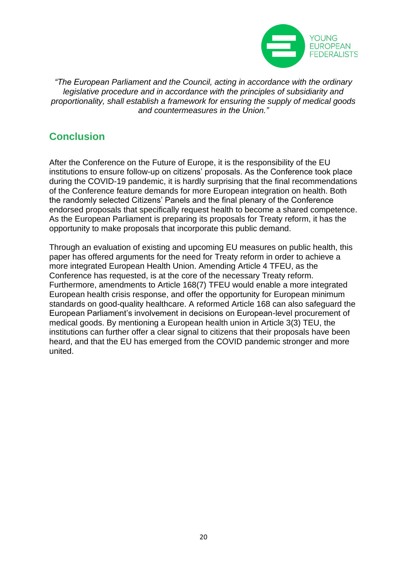

*"The European Parliament and the Council, acting in accordance with the ordinary legislative procedure and in accordance with the principles of subsidiarity and proportionality, shall establish a framework for ensuring the supply of medical goods and countermeasures in the Union."*

# <span id="page-19-0"></span>**Conclusion**

After the Conference on the Future of Europe, it is the responsibility of the EU institutions to ensure follow-up on citizens' proposals. As the Conference took place during the COVID-19 pandemic, it is hardly surprising that the final recommendations of the Conference feature demands for more European integration on health. Both the randomly selected Citizens' Panels and the final plenary of the Conference endorsed proposals that specifically request health to become a shared competence. As the European Parliament is preparing its proposals for Treaty reform, it has the opportunity to make proposals that incorporate this public demand.

Through an evaluation of existing and upcoming EU measures on public health, this paper has offered arguments for the need for Treaty reform in order to achieve a more integrated European Health Union. Amending Article 4 TFEU, as the Conference has requested, is at the core of the necessary Treaty reform. Furthermore, amendments to Article 168(7) TFEU would enable a more integrated European health crisis response, and offer the opportunity for European minimum standards on good-quality healthcare. A reformed Article 168 can also safeguard the European Parliament's involvement in decisions on European-level procurement of medical goods. By mentioning a European health union in Article 3(3) TEU, the institutions can further offer a clear signal to citizens that their proposals have been heard, and that the EU has emerged from the COVID pandemic stronger and more united.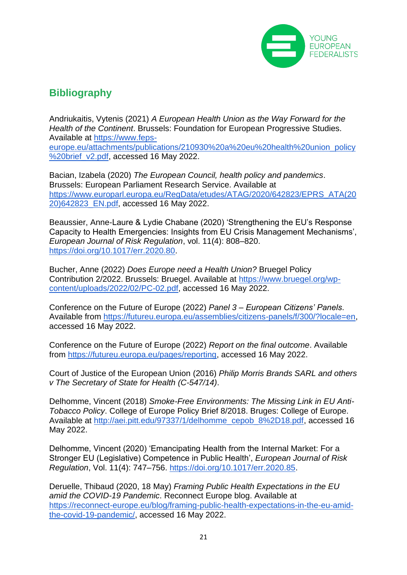

# <span id="page-20-0"></span>**Bibliography**

Andriukaitis, Vytenis (2021) *A European Health Union as the Way Forward for the Health of the Continent*. Brussels: Foundation for European Progressive Studies. Available at [https://www.feps](https://www.feps-europe.eu/attachments/publications/210930%20a%20eu%20health%20union_policy%20brief_v2.pdf)[europe.eu/attachments/publications/210930%20a%20eu%20health%20union\\_policy](https://www.feps-europe.eu/attachments/publications/210930%20a%20eu%20health%20union_policy%20brief_v2.pdf) [%20brief\\_v2.pdf,](https://www.feps-europe.eu/attachments/publications/210930%20a%20eu%20health%20union_policy%20brief_v2.pdf) accessed 16 May 2022.

Bacian, Izabela (2020) *The European Council, health policy and pandemics*. Brussels: European Parliament Research Service. Available at [https://www.europarl.europa.eu/RegData/etudes/ATAG/2020/642823/EPRS\\_ATA\(20](https://www.europarl.europa.eu/RegData/etudes/ATAG/2020/642823/EPRS_ATA(2020)642823_EN.pdf) [20\)642823\\_EN.pdf,](https://www.europarl.europa.eu/RegData/etudes/ATAG/2020/642823/EPRS_ATA(2020)642823_EN.pdf) accessed 16 May 2022.

Beaussier, Anne-Laure & Lydie Chabane (2020) 'Strengthening the EU's Response Capacity to Health Emergencies: Insights from EU Crisis Management Mechanisms', *European Journal of Risk Regulation*, vol. 11(4): 808–820. [https://doi.org/10.1017/err.2020.80.](https://doi.org/10.1017/err.2020.80)

Bucher, Anne (2022) *Does Europe need a Health Union?* Bruegel Policy Contribution 2/2022. Brussels: Bruegel. Available at [https://www.bruegel.org/wp](https://www.bruegel.org/wp-content/uploads/2022/02/PC-02.pdf)[content/uploads/2022/02/PC-02.pdf,](https://www.bruegel.org/wp-content/uploads/2022/02/PC-02.pdf) accessed 16 May 2022.

Conference on the Future of Europe (2022) *Panel 3 – European Citizens' Panels*. Available from [https://futureu.europa.eu/assemblies/citizens-panels/f/300/?locale=en,](https://futureu.europa.eu/assemblies/citizens-panels/f/300/?locale=en) accessed 16 May 2022.

Conference on the Future of Europe (2022) *Report on the final outcome*. Available from [https://futureu.europa.eu/pages/reporting,](https://futureu.europa.eu/pages/reporting) accessed 16 May 2022.

Court of Justice of the European Union (2016) *Philip Morris Brands SARL and others v The Secretary of State for Health (C-547/14)*.

Delhomme, Vincent (2018) *Smoke-Free Environments: The Missing Link in EU Anti-Tobacco Policy*. College of Europe Policy Brief 8/2018. Bruges: College of Europe. Available at [http://aei.pitt.edu/97337/1/delhomme\\_cepob\\_8%2D18.pdf,](http://aei.pitt.edu/97337/1/delhomme_cepob_8-18.pdf) accessed 16 May 2022.

Delhomme, Vincent (2020) 'Emancipating Health from the Internal Market: For a Stronger EU (Legislative) Competence in Public Health', *European Journal of Risk Regulation*, Vol. 11(4): 747–756. [https://doi.org/10.1017/err.2020.85.](https://doi.org/10.1017/err.2020.85)

Deruelle, Thibaud (2020, 18 May) *Framing Public Health Expectations in the EU amid the COVID-19 Pandemic*. Reconnect Europe blog. Available at [https://reconnect-europe.eu/blog/framing-public-health-expectations-in-the-eu-amid](https://reconnect-europe.eu/blog/framing-public-health-expectations-in-the-eu-amid-the-covid-19-pandemic/)[the-covid-19-pandemic/,](https://reconnect-europe.eu/blog/framing-public-health-expectations-in-the-eu-amid-the-covid-19-pandemic/) accessed 16 May 2022.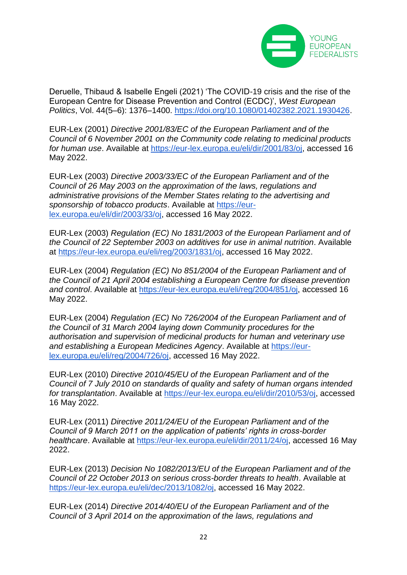

Deruelle, Thibaud & Isabelle Engeli (2021) 'The COVID-19 crisis and the rise of the European Centre for Disease Prevention and Control (ECDC)', *West European Politics*, Vol. 44(5–6): 1376–1400. [https://doi.org/10.1080/01402382.2021.1930426.](https://doi.org/10.1080/01402382.2021.1930426)

EUR-Lex (2001) *Directive 2001/83/EC of the European Parliament and of the Council of 6 November 2001 on the Community code relating to medicinal products for human use*. Available at [https://eur-lex.europa.eu/eli/dir/2001/83/oj,](https://eur-lex.europa.eu/eli/dir/2001/83/oj) accessed 16 May 2022.

EUR-Lex (2003) *Directive 2003/33/EC of the European Parliament and of the Council of 26 May 2003 on the approximation of the laws, regulations and administrative provisions of the Member States relating to the advertising and sponsorship of tobacco products*. Available at [https://eur](https://eur-lex.europa.eu/eli/dir/2003/33/oj)[lex.europa.eu/eli/dir/2003/33/oj,](https://eur-lex.europa.eu/eli/dir/2003/33/oj) accessed 16 May 2022.

EUR-Lex (2003) *Regulation (EC) No 1831/2003 of the European Parliament and of the Council of 22 September 2003 on additives for use in animal nutrition*. Available at [https://eur-lex.europa.eu/eli/reg/2003/1831/oj,](https://eur-lex.europa.eu/eli/reg/2003/1831/oj) accessed 16 May 2022.

EUR-Lex (2004) *Regulation (EC) No 851/2004 of the European Parliament and of the Council of 21 April 2004 establishing a European Centre for disease prevention and control*. Available at [https://eur-lex.europa.eu/eli/reg/2004/851/oj,](https://eur-lex.europa.eu/eli/reg/2004/851/oj) accessed 16 May 2022.

EUR-Lex (2004) *Regulation (EC) No 726/2004 of the European Parliament and of the Council of 31 March 2004 laying down Community procedures for the authorisation and supervision of medicinal products for human and veterinary use and establishing a European Medicines Agency*. Available at [https://eur](https://eur-lex.europa.eu/eli/reg/2004/726/oj)[lex.europa.eu/eli/reg/2004/726/oj,](https://eur-lex.europa.eu/eli/reg/2004/726/oj) accessed 16 May 2022.

EUR-Lex (2010) *Directive 2010/45/EU of the European Parliament and of the Council of 7 July 2010 on standards of quality and safety of human organs intended for transplantation*. Available at [https://eur-lex.europa.eu/eli/dir/2010/53/oj,](https://eur-lex.europa.eu/legal-content/EN/ALL/?uri=CELEX:32010L0053) accessed 16 May 2022.

EUR-Lex (2011) *Directive 2011/24/EU of the European Parliament and of the Council of 9 March 2011 on the application of patients' rights in cross-border healthcare*. Available at [https://eur-lex.europa.eu/eli/dir/2011/24/oj,](https://eur-lex.europa.eu/eli/dir/2011/24/oj) accessed 16 May 2022.

EUR-Lex (2013) *Decision No 1082/2013/EU of the European Parliament and of the Council of 22 October 2013 on serious cross-border threats to health*. Available at [https://eur-lex.europa.eu/eli/dec/2013/1082/oj,](https://eur-lex.europa.eu/eli/dec/2013/1082/oj) accessed 16 May 2022.

EUR-Lex (2014) *Directive 2014/40/EU of the European Parliament and of the Council of 3 April 2014 on the approximation of the laws, regulations and*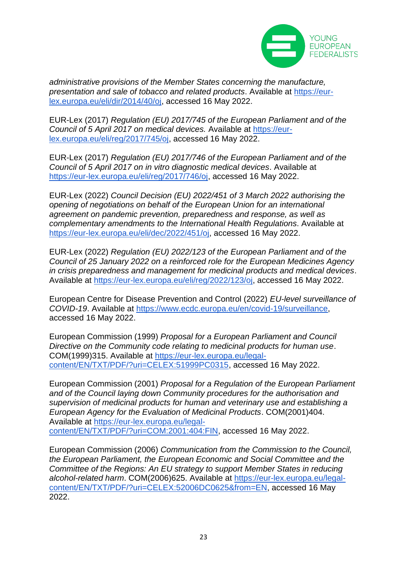

*administrative provisions of the Member States concerning the manufacture, presentation and sale of tobacco and related products*. Available at [https://eur](https://eur-lex.europa.eu/eli/dir/2014/40/oj)[lex.europa.eu/eli/dir/2014/40/oj,](https://eur-lex.europa.eu/eli/dir/2014/40/oj) accessed 16 May 2022.

EUR-Lex (2017) *Regulation (EU) 2017/745 of the European Parliament and of the Council of 5 April 2017 on medical devices.* Available at [https://eur](https://eur-lex.europa.eu/eli/reg/2017/745/oj)[lex.europa.eu/eli/reg/2017/745/oj,](https://eur-lex.europa.eu/eli/reg/2017/745/oj) accessed 16 May 2022.

EUR-Lex (2017) *Regulation (EU) 2017/746 of the European Parliament and of the Council of 5 April 2017 on in vitro diagnostic medical devices*. Available at [https://eur-lex.europa.eu/eli/reg/2017/746/oj,](https://eur-lex.europa.eu/eli/reg/2017/746/oj) accessed 16 May 2022.

EUR-Lex (2022) *Council Decision (EU) 2022/451 of 3 March 2022 authorising the opening of negotiations on behalf of the European Union for an international agreement on pandemic prevention, preparedness and response, as well as complementary amendments to the International Health Regulations*. Available at [https://eur-lex.europa.eu/eli/dec/2022/451/oj,](https://eur-lex.europa.eu/eli/dec/2022/451/oj) accessed 16 May 2022.

EUR-Lex (2022) *Regulation (EU) 2022/123 of the European Parliament and of the Council of 25 January 2022 on a reinforced role for the European Medicines Agency in crisis preparedness and management for medicinal products and medical devices*. Available at [https://eur-lex.europa.eu/eli/reg/2022/123/oj,](https://eur-lex.europa.eu/eli/reg/2022/123/oj) accessed 16 May 2022.

European Centre for Disease Prevention and Control (2022) *EU-level surveillance of COVID-19*. Available at [https://www.ecdc.europa.eu/en/covid-19/surveillance,](https://www.ecdc.europa.eu/en/covid-19/surveillance) accessed 16 May 2022.

European Commission (1999) *Proposal for a European Parliament and Council Directive on the Community code relating to medicinal products for human use*. COM(1999)315. Available at [https://eur-lex.europa.eu/legal](https://eur-lex.europa.eu/legal-content/EN/TXT/PDF/?uri=CELEX:51999PC0315)[content/EN/TXT/PDF/?uri=CELEX:51999PC0315,](https://eur-lex.europa.eu/legal-content/EN/TXT/PDF/?uri=CELEX:51999PC0315) accessed 16 May 2022.

European Commission (2001) *Proposal for a Regulation of the European Parliament and of the Council laying down Community procedures for the authorisation and supervision of medicinal products for human and veterinary use and establishing a European Agency for the Evaluation of Medicinal Products*. COM(2001)404. Available at [https://eur-lex.europa.eu/legal](https://eur-lex.europa.eu/legal-content/EN/TXT/PDF/?uri=COM:2001:404:FIN)[content/EN/TXT/PDF/?uri=COM:2001:404:FIN,](https://eur-lex.europa.eu/legal-content/EN/TXT/PDF/?uri=COM:2001:404:FIN) accessed 16 May 2022.

European Commission (2006) *Communication from the Commission to the Council, the European Parliament, the European Economic and Social Committee and the Committee of the Regions: An EU strategy to support Member States in reducing alcohol-related harm*. COM(2006)625. Available at [https://eur-lex.europa.eu/legal](https://eur-lex.europa.eu/legal-content/EN/TXT/PDF/?uri=CELEX:52006DC0625&from=EN)[content/EN/TXT/PDF/?uri=CELEX:52006DC0625&from=EN,](https://eur-lex.europa.eu/legal-content/EN/TXT/PDF/?uri=CELEX:52006DC0625&from=EN) accessed 16 May 2022.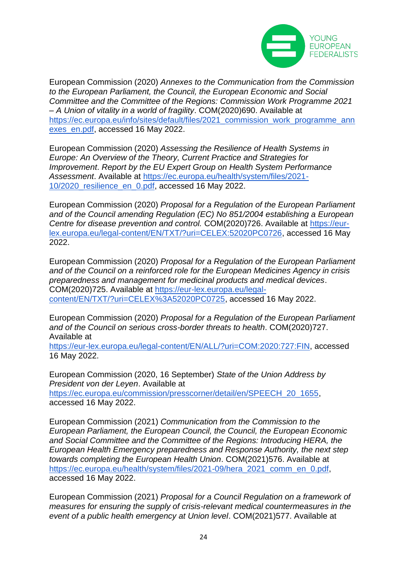

European Commission (2020) *Annexes to the Communication from the Commission to the European Parliament, the Council, the European Economic and Social Committee and the Committee of the Regions: Commission Work Programme 2021 – A Union of vitality in a world of fragility*. COM(2020)690. Available at [https://ec.europa.eu/info/sites/default/files/2021\\_commission\\_work\\_programme\\_ann](https://ec.europa.eu/info/sites/default/files/2021_commission_work_programme_annexes_en.pdf) [exes\\_en.pdf,](https://ec.europa.eu/info/sites/default/files/2021_commission_work_programme_annexes_en.pdf) accessed 16 May 2022.

European Commission (2020) *Assessing the Resilience of Health Systems in Europe: An Overview of the Theory, Current Practice and Strategies for Improvement*. *Report by the EU Expert Group on Health System Performance Assessment*. Available at [https://ec.europa.eu/health/system/files/2021-](https://ec.europa.eu/health/system/files/2021-10/2020_resilience_en_0.pdf) 10/2020 resilience en 0.pdf, accessed 16 May 2022.

European Commission (2020) *Proposal for a Regulation of the European Parliament and of the Council amending Regulation (EC) No 851/2004 establishing a European Centre for disease prevention and control.* COM(2020)726. Available at [https://eur](https://eur-lex.europa.eu/legal-content/EN/TXT/?uri=CELEX:52020PC0726)[lex.europa.eu/legal-content/EN/TXT/?uri=CELEX:52020PC0726,](https://eur-lex.europa.eu/legal-content/EN/TXT/?uri=CELEX:52020PC0726) accessed 16 May 2022.

European Commission (2020) *Proposal for a Regulation of the European Parliament and of the Council on a reinforced role for the European Medicines Agency in crisis preparedness and management for medicinal products and medical devices*. COM(2020)725. Available at [https://eur-lex.europa.eu/legal](https://eur-lex.europa.eu/legal-content/EN/TXT/?uri=CELEX%3A52020PC0725)[content/EN/TXT/?uri=CELEX%3A52020PC0725,](https://eur-lex.europa.eu/legal-content/EN/TXT/?uri=CELEX%3A52020PC0725) accessed 16 May 2022.

European Commission (2020) *Proposal for a Regulation of the European Parliament and of the Council on serious cross-border threats to health*. COM(2020)727. Available at

[https://eur-lex.europa.eu/legal-content/EN/ALL/?uri=COM:2020:727:FIN,](https://eur-lex.europa.eu/legal-content/EN/ALL/?uri=COM:2020:727:FIN) accessed 16 May 2022.

European Commission (2020, 16 September) *State of the Union Address by President von der Leyen*. Available at [https://ec.europa.eu/commission/presscorner/detail/en/SPEECH\\_20\\_1655,](https://ec.europa.eu/commission/presscorner/detail/en/SPEECH_20_1655) accessed 16 May 2022.

European Commission (2021) *Communication from the Commission to the European Parliament, the European Council, the Council, the European Economic and Social Committee and the Committee of the Regions: Introducing HERA, the European Health Emergency preparedness and Response Authority, the next step towards completing the European Health Union*. COM(2021)576. Available at [https://ec.europa.eu/health/system/files/2021-09/hera\\_2021\\_comm\\_en\\_0.pdf,](https://ec.europa.eu/health/system/files/2021-09/hera_2021_comm_en_0.pdf) accessed 16 May 2022.

European Commission (2021) *Proposal for a Council Regulation on a framework of measures for ensuring the supply of crisis-relevant medical countermeasures in the event of a public health emergency at Union level*. COM(2021)577. Available at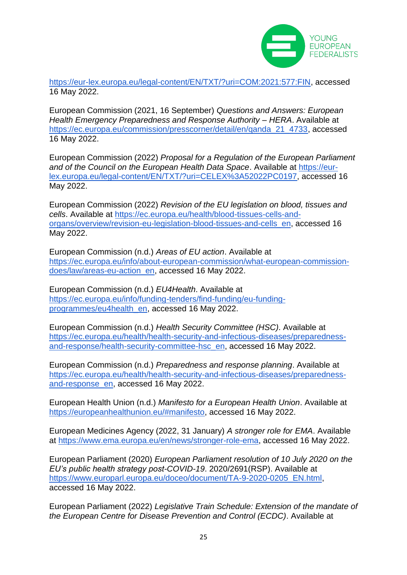

[https://eur-lex.europa.eu/legal-content/EN/TXT/?uri=COM:2021:577:FIN,](https://eur-lex.europa.eu/legal-content/EN/TXT/?uri=COM:2021:577:FIN) accessed 16 May 2022.

European Commission (2021, 16 September) *Questions and Answers: European Health Emergency Preparedness and Response Authority – HERA*. Available at [https://ec.europa.eu/commission/presscorner/detail/en/qanda\\_21\\_4733,](https://ec.europa.eu/commission/presscorner/detail/en/qanda_21_4733) accessed 16 May 2022.

European Commission (2022) *Proposal for a Regulation of the European Parliament and of the Council on the European Health Data Space*. Available at [https://eur](https://eur-lex.europa.eu/legal-content/EN/TXT/?uri=CELEX%3A52022PC0197)[lex.europa.eu/legal-content/EN/TXT/?uri=CELEX%3A52022PC0197,](https://eur-lex.europa.eu/legal-content/EN/TXT/?uri=CELEX%3A52022PC0197) accessed 16 May 2022.

European Commission (2022) *Revision of the EU legislation on blood, tissues and cells*. Available at [https://ec.europa.eu/health/blood-tissues-cells-and](https://ec.europa.eu/health/blood-tissues-cells-and-organs/overview/revision-eu-legislation-blood-tissues-and-cells_en)[organs/overview/revision-eu-legislation-blood-tissues-and-cells\\_en,](https://ec.europa.eu/health/blood-tissues-cells-and-organs/overview/revision-eu-legislation-blood-tissues-and-cells_en) accessed 16 May 2022.

European Commission (n.d.) *Areas of EU action*. Available at [https://ec.europa.eu/info/about-european-commission/what-european-commission](https://ec.europa.eu/info/about-european-commission/what-european-commission-does/law/areas-eu-action_en)[does/law/areas-eu-action\\_en,](https://ec.europa.eu/info/about-european-commission/what-european-commission-does/law/areas-eu-action_en) accessed 16 May 2022.

European Commission (n.d.) *EU4Health*. Available at [https://ec.europa.eu/info/funding-tenders/find-funding/eu-funding](https://ec.europa.eu/info/funding-tenders/find-funding/eu-funding-programmes/eu4health_en)[programmes/eu4health\\_en,](https://ec.europa.eu/info/funding-tenders/find-funding/eu-funding-programmes/eu4health_en) accessed 16 May 2022.

European Commission (n.d.) *Health Security Committee (HSC)*. Available at [https://ec.europa.eu/health/health-security-and-infectious-diseases/preparedness](https://ec.europa.eu/health/health-security-and-infectious-diseases/preparedness-and-response/health-security-committee-hsc_en)[and-response/health-security-committee-hsc\\_en,](https://ec.europa.eu/health/health-security-and-infectious-diseases/preparedness-and-response/health-security-committee-hsc_en) accessed 16 May 2022.

European Commission (n.d.) *Preparedness and response planning*. Available at [https://ec.europa.eu/health/health-security-and-infectious-diseases/preparedness](https://ec.europa.eu/health/health-security-and-infectious-diseases/preparedness-and-response_en)[and-response\\_en,](https://ec.europa.eu/health/health-security-and-infectious-diseases/preparedness-and-response_en) accessed 16 May 2022.

European Health Union (n.d.) *Manifesto for a European Health Union*. Available at [https://europeanhealthunion.eu/#manifesto,](https://europeanhealthunion.eu/#manifesto) accessed 16 May 2022.

European Medicines Agency (2022, 31 January) *A stronger role for EMA*. Available at [https://www.ema.europa.eu/en/news/stronger-role-ema,](https://www.ema.europa.eu/en/news/stronger-role-ema) accessed 16 May 2022.

European Parliament (2020) *European Parliament resolution of 10 July 2020 on the EU's public health strategy post-COVID-19*. 2020/2691(RSP). Available at [https://www.europarl.europa.eu/doceo/document/TA-9-2020-0205\\_EN.html,](https://www.europarl.europa.eu/doceo/document/TA-9-2020-0205_EN.html) accessed 16 May 2022.

European Parliament (2022) *Legislative Train Schedule: Extension of the mandate of the European Centre for Disease Prevention and Control (ECDC)*. Available at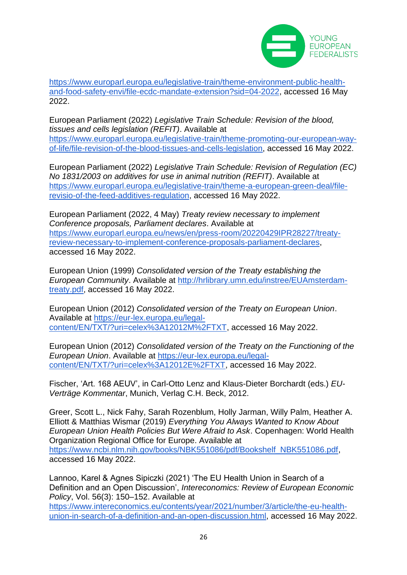

[https://www.europarl.europa.eu/legislative-train/theme-environment-public-health](https://www.europarl.europa.eu/legislative-train/theme-environment-public-health-and-food-safety-envi/file-ecdc-mandate-extension?sid=04-2022)[and-food-safety-envi/file-ecdc-mandate-extension?sid=04-2022,](https://www.europarl.europa.eu/legislative-train/theme-environment-public-health-and-food-safety-envi/file-ecdc-mandate-extension?sid=04-2022) accessed 16 May 2022.

European Parliament (2022) *Legislative Train Schedule: Revision of the blood, tissues and cells legislation (REFIT)*. Available at [https://www.europarl.europa.eu/legislative-train/theme-promoting-our-european-way](https://www.europarl.europa.eu/legislative-train/theme-promoting-our-european-way-of-life/file-revision-of-the-blood-tissues-and-cells-legislation)[of-life/file-revision-of-the-blood-tissues-and-cells-legislation,](https://www.europarl.europa.eu/legislative-train/theme-promoting-our-european-way-of-life/file-revision-of-the-blood-tissues-and-cells-legislation) accessed 16 May 2022.

European Parliament (2022) *Legislative Train Schedule: Revision of Regulation (EC) No 1831/2003 on additives for use in animal nutrition (REFIT)*. Available at [https://www.europarl.europa.eu/legislative-train/theme-a-european-green-deal/file](https://www.europarl.europa.eu/legislative-train/theme-a-european-green-deal/file-revisio-of-the-feed-additives-regulation)[revisio-of-the-feed-additives-regulation,](https://www.europarl.europa.eu/legislative-train/theme-a-european-green-deal/file-revisio-of-the-feed-additives-regulation) accessed 16 May 2022.

European Parliament (2022, 4 May) *Treaty review necessary to implement Conference proposals, Parliament declares*. Available at [https://www.europarl.europa.eu/news/en/press-room/20220429IPR28227/treaty](https://www.europarl.europa.eu/news/en/press-room/20220429IPR28227/treaty-review-necessary-to-implement-conference-proposals-parliament-declares)[review-necessary-to-implement-conference-proposals-parliament-declares,](https://www.europarl.europa.eu/news/en/press-room/20220429IPR28227/treaty-review-necessary-to-implement-conference-proposals-parliament-declares) accessed 16 May 2022.

European Union (1999) *Consolidated version of the Treaty establishing the European Community*. Available at [http://hrlibrary.umn.edu/instree/EUAmsterdam](http://hrlibrary.umn.edu/instree/EUAmsterdam-treaty.pdf)[treaty.pdf,](http://hrlibrary.umn.edu/instree/EUAmsterdam-treaty.pdf) accessed 16 May 2022.

European Union (2012) *Consolidated version of the Treaty on European Union*. Available at [https://eur-lex.europa.eu/legal](https://eur-lex.europa.eu/legal-content/EN/TXT/?uri=celex%3A12012M%2FTXT)[content/EN/TXT/?uri=celex%3A12012M%2FTXT,](https://eur-lex.europa.eu/legal-content/EN/TXT/?uri=celex%3A12012M%2FTXT) accessed 16 May 2022.

European Union (2012) *Consolidated version of the Treaty on the Functioning of the European Union*. Available at [https://eur-lex.europa.eu/legal](https://eur-lex.europa.eu/legal-content/EN/TXT/?uri=celex%3A12012E%2FTXT)[content/EN/TXT/?uri=celex%3A12012E%2FTXT,](https://eur-lex.europa.eu/legal-content/EN/TXT/?uri=celex%3A12012E%2FTXT) accessed 16 May 2022.

Fischer, 'Art. 168 AEUV', in Carl-Otto Lenz and Klaus-Dieter Borchardt (eds.) *EU-Verträge Kommentar*, Munich, Verlag C.H. Beck, 2012.

Greer, Scott L., Nick Fahy, Sarah Rozenblum, Holly Jarman, Willy Palm, Heather A. Elliott & Matthias Wismar (2019) *Everything You Always Wanted to Know About European Union Health Policies But Were Afraid to Ask*. Copenhagen: World Health Organization Regional Office for Europe. Available at [https://www.ncbi.nlm.nih.gov/books/NBK551086/pdf/Bookshelf\\_NBK551086.pdf,](https://www.ncbi.nlm.nih.gov/books/NBK551086/pdf/Bookshelf_NBK551086.pdf) accessed 16 May 2022.

Lannoo, Karel & Agnes Sipiczki (2021) 'The EU Health Union in Search of a Definition and an Open Discussion', *Intereconomics: Review of European Economic Policy*, Vol. 56(3): 150–152. Available at

[https://www.intereconomics.eu/contents/year/2021/number/3/article/the-eu-health](https://www.intereconomics.eu/contents/year/2021/number/3/article/the-eu-health-union-in-search-of-a-definition-and-an-open-discussion.html)[union-in-search-of-a-definition-and-an-open-discussion.html,](https://www.intereconomics.eu/contents/year/2021/number/3/article/the-eu-health-union-in-search-of-a-definition-and-an-open-discussion.html) accessed 16 May 2022.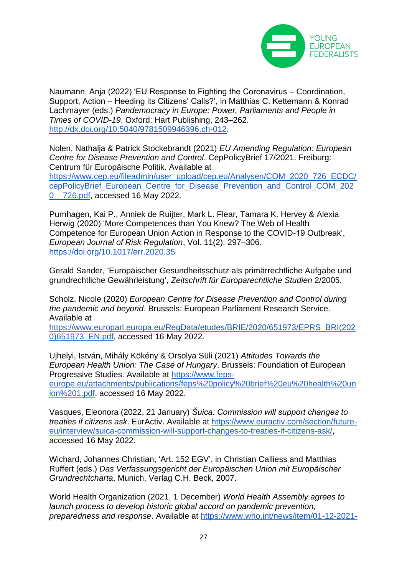

Naumann, Anja (2022) 'EU Response to Fighting the Coronavirus – Coordination, Support, Action – Heeding its Citizens' Calls?', in Matthias C. Kettemann & Konrad Lachmayer (eds.) *Pandemocracy in Europe: Power, Parliaments and People in Times of COVID-19*. Oxford: Hart Publishing, 243–262. [http://dx.doi.org/10.5040/9781509946396.ch-012.](http://dx.doi.org/10.5040/9781509946396.ch-012)

Nolen, Nathalja & Patrick Stockebrandt (2021) *EU Amending Regulation: European Centre for Disease Prevention and Control*. CepPolicyBrief 17/2021. Freiburg: Centrum für Europäische Politik. Available at [https://www.cep.eu/fileadmin/user\\_upload/cep.eu/Analysen/COM\\_2020\\_726\\_ECDC/](https://www.cep.eu/fileadmin/user_upload/cep.eu/Analysen/COM_2020_726_ECDC/cepPolicyBrief_European_Centre_for_Disease_Prevention_and_Control_COM_2020__726.pdf) [cepPolicyBrief\\_European\\_Centre\\_for\\_Disease\\_Prevention\\_and\\_Control\\_COM\\_202](https://www.cep.eu/fileadmin/user_upload/cep.eu/Analysen/COM_2020_726_ECDC/cepPolicyBrief_European_Centre_for_Disease_Prevention_and_Control_COM_2020__726.pdf) [0\\_\\_726.pdf,](https://www.cep.eu/fileadmin/user_upload/cep.eu/Analysen/COM_2020_726_ECDC/cepPolicyBrief_European_Centre_for_Disease_Prevention_and_Control_COM_2020__726.pdf) accessed 16 May 2022.

Purnhagen, Kai P., Anniek de Ruijter, Mark L. Flear, Tamara K. Hervey & Alexia Herwig (2020) 'More Competences than You Knew? The Web of Health Competence for European Union Action in Response to the COVID-19 Outbreak', *European Journal of Risk Regulation*, Vol. 11(2): 297–306. <https://doi.org/10.1017/err.2020.35>

Gerald Sander, 'Europäischer Gesundheitsschutz als primärrechtliche Aufgabe und grundrechtliche Gewährleistung', *Zeitschrift für Europarechtliche Studien* 2/2005.

Scholz, Nicole (2020) *European Centre for Disease Prevention and Control during the pandemic and beyond*. Brussels: European Parliament Research Service. Available at

[https://www.europarl.europa.eu/RegData/etudes/BRIE/2020/651973/EPRS\\_BRI\(202](https://www.europarl.europa.eu/RegData/etudes/BRIE/2020/651973/EPRS_BRI(2020)651973_EN.pdf) [0\)651973\\_EN.pdf,](https://www.europarl.europa.eu/RegData/etudes/BRIE/2020/651973/EPRS_BRI(2020)651973_EN.pdf) accessed 16 May 2022.

Ujhelyi, István, Mihály Kökény & Orsolya Süli (2021) *Attitudes Towards the European Health Union: The Case of Hungary*. Brussels: Foundation of European Progressive Studies. Available at [https://www.feps](https://www.feps-europe.eu/attachments/publications/feps%20policy%20brief%20eu%20health%20union%201.pdf)[europe.eu/attachments/publications/feps%20policy%20brief%20eu%20health%20un](https://www.feps-europe.eu/attachments/publications/feps%20policy%20brief%20eu%20health%20union%201.pdf) [ion%201.pdf,](https://www.feps-europe.eu/attachments/publications/feps%20policy%20brief%20eu%20health%20union%201.pdf) accessed 16 May 2022.

Vasques, Eleonora (2022, 21 January) *Šuica: Commission will support changes to treaties if citizens ask*. EurActiv. Available at [https://www.euractiv.com/section/future](https://www.euractiv.com/section/future-eu/interview/suica-commission-will-support-changes-to-treaties-if-citizens-ask/)[eu/interview/suica-commission-will-support-changes-to-treaties-if-citizens-ask/,](https://www.euractiv.com/section/future-eu/interview/suica-commission-will-support-changes-to-treaties-if-citizens-ask/) accessed 16 May 2022.

Wichard, Johannes Christian, 'Art. 152 EGV', in Christian Calliess and Matthias Ruffert (eds.) *Das Verfassungsgericht der Europäischen Union mit Europäischer Grundrechtcharta*, Munich, Verlag C.H. Beck, 2007.

World Health Organization (2021, 1 December) *World Health Assembly agrees to launch process to develop historic global accord on pandemic prevention, preparedness and response*. Available at [https://www.who.int/news/item/01-12-2021-](https://www.who.int/news/item/01-12-2021-world-health-assembly-agrees-to-launch-process-to-develop-historic-global-accord-on-pandemic-prevention-preparedness-and-response)